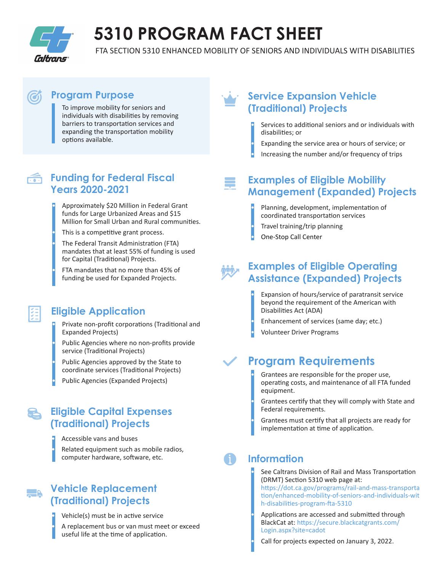

# **5310 PROGRAM FACT SHEET**

FTA SECTION 5310 ENHANCED MOBILITY OF SENIORS AND INDIVIDUALS WITH DISABILITIES

## **Program Purpose**

To improve mobility for seniors and individuals with disabilities by removing barriers to transportation services and expanding the transportation mobility options available.

## **Funding for Federal Fiscal Years 2020-2021**

- Approximately \$20 Million in Federal Grant funds for Large Urbanized Areas and \$15 Million for Small Urban and Rural communities.
- This is a competitive grant process.
- The Federal Transit Administration (FTA) mandates that at least 55% of funding is used for Capital (Traditional) Projects.
- FTA mandates that no more than 45% of funding be used for Expanded Projects.

## **Eligible Application**

- Private non-profit corporations (Traditional and Expanded Projects)
- Public Agencies where no non-profits provide service (Traditional Projects)
- Public Agencies approved by the State to coordinate services (Traditional Projects)
- Public Agencies (Expanded Projects)

## **Eligible Capital Expenses (Traditional) Projects**

- Accessible vans and buses
- Related equipment such as mobile radios, computer hardware, software, etc.

## **Vehicle Replacement (Traditional) Projects**

ER

- Vehicle(s) must be in active service
- A replacement bus or van must meet or exceed useful life at the time of application.

## **Service Expansion Vehicle (Traditional) Projects**

- Services to additional seniors and or individuals with disabili�es; or
- Expanding the service area or hours of service; or • Increasing the number and/or frequency of trips

## **Examples of Eligible Mobility Management (Expanded) Projects**

- Planning, development, implementation of coordinated transportation services • Travel training/trip planning
- One-Stop Call Center

## **Examples of Eligible Operating Assistance (Expanded) Projects**

- Expansion of hours/service of paratransit service beyond the requirement of the American with Disabili�es Act (ADA)
- Enhancement of services (same day; etc.)
- Volunteer Driver Programs

## **Program Requirements**

- Grantees are responsible for the proper use, operating costs, and maintenance of all FTA funded equipment.
- Grantees cer�fy that they will comply with State and Federal requirements.
- Grantees must certify that all projects are ready for implementation at time of application.

## **Information**

- See Caltrans Division of Rail and Mass Transportation (DRMT) Section 5310 web page at:
- https://dot.ca.gov/programs/rail-and-mass-transporta tion/enhanced-mobility-of-seniors-and-individuals-wit h-disabilities-program-fta-5310
- Applications are accessed and submitted through BlackCat at: https://secure.blackcatgrants.com/ Login.aspx?site=cadot
- Call for projects expected on January 3, 2022.